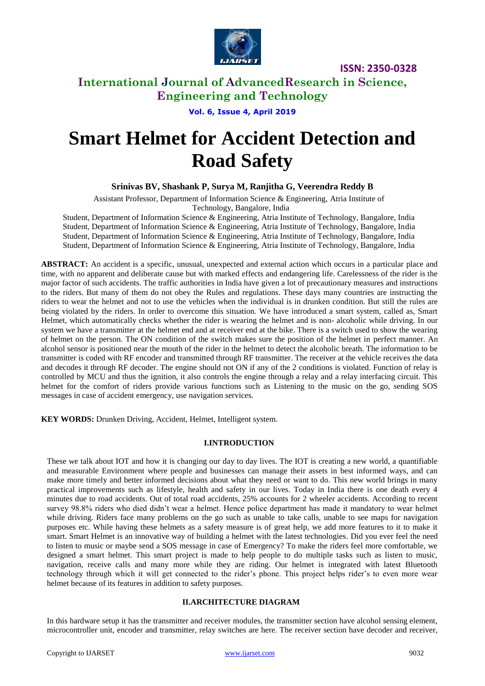

**ISSN: 2350-0328**

# **International Journal of AdvancedResearch in Science, Engineering and Technology**

**Vol. 6, Issue 4, April 2019**

# **Smart Helmet for Accident Detection and Road Safety**

**Srinivas BV, Shashank P, Surya M, Ranjitha G, Veerendra Reddy B**

Assistant Professor, Department of Information Science & Engineering, Atria Institute of Technology, Bangalore, India

Student, Department of Information Science & Engineering, Atria Institute of Technology, Bangalore, India Student, Department of Information Science & Engineering, Atria Institute of Technology, Bangalore, India Student, Department of Information Science & Engineering, Atria Institute of Technology, Bangalore, India Student, Department of Information Science & Engineering, Atria Institute of Technology, Bangalore, India

**ABSTRACT:** An accident is a specific, unusual, unexpected and external action which occurs in a particular place and time, with no apparent and deliberate cause but with marked effects and endangering life. Carelessness of the rider is the major factor of such accidents. The traffic authorities in India have given a lot of precautionary measures and instructions to the riders. But many of them do not obey the Rules and regulations. These days many countries are instructing the riders to wear the helmet and not to use the vehicles when the individual is in drunken condition. But still the rules are being violated by the riders. In order to overcome this situation. We have introduced a smart system, called as, Smart Helmet, which automatically checks whether the rider is wearing the helmet and is non- alcoholic while driving. In our system we have a transmitter at the helmet end and at receiver end at the bike. There is a switch used to show the wearing of helmet on the person. The ON condition of the switch makes sure the position of the helmet in perfect manner. An alcohol sensor is positioned near the mouth of the rider in the helmet to detect the alcoholic breath. The information to be transmitter is coded with RF encoder and transmitted through RF transmitter. The receiver at the vehicle receives the data and decodes it through RF decoder. The engine should not ON if any of the 2 conditions is violated. Function of relay is controlled by MCU and thus the ignition, it also controls the engine through a relay and a relay interfacing circuit. This helmet for the comfort of riders provide various functions such as Listening to the music on the go, sending SOS messages in case of accident emergency, use navigation services.

**KEY WORDS:** Drunken Driving, Accident, Helmet, Intelligent system.

# **I.INTRODUCTION**

These we talk about IOT and how it is changing our day to day lives. The IOT is creating a new world, a quantifiable and measurable Environment where people and businesses can manage their assets in best informed ways, and can make more timely and better informed decisions about what they need or want to do. This new world brings in many practical improvements such as lifestyle, health and safety in our lives. Today in India there is one death every 4 minutes due to road accidents. Out of total road accidents, 25% accounts for 2 wheeler accidents. According to recent survey 98.8% riders who died didn't wear a helmet. Hence police department has made it mandatory to wear helmet while driving. Riders face many problems on the go such as unable to take calls, unable to see maps for navigation purposes etc. While having these helmets as a safety measure is of great help, we add more features to it to make it smart. Smart Helmet is an innovative way of building a helmet with the latest technologies. Did you ever feel the need to listen to music or maybe send a SOS message in case of Emergency? To make the riders feel more comfortable, we designed a smart helmet. This smart project is made to help people to do multiple tasks such as listen to music, navigation, receive calls and many more while they are riding. Our helmet is integrated with latest Bluetooth technology through which it will get connected to the rider's phone. This project helps rider's to even more wear helmet because of its features in addition to safety purposes.

# **II.ARCHITECTURE DIAGRAM**

In this hardware setup it has the transmitter and receiver modules, the transmitter section have alcohol sensing element, microcontroller unit, encoder and transmitter, relay switches are here. The receiver section have decoder and receiver,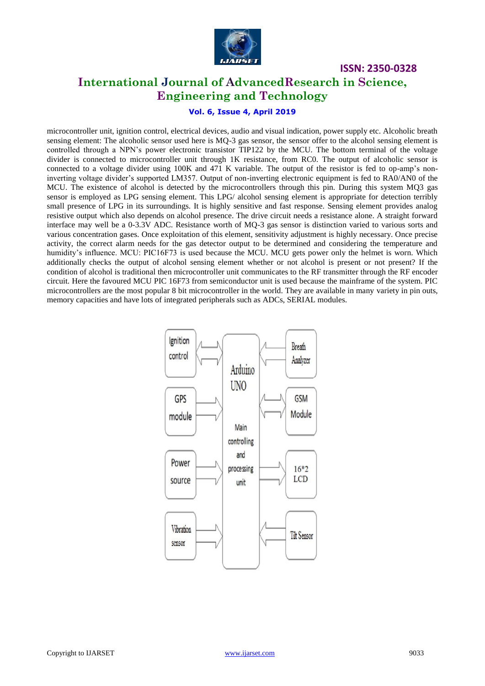

**ISSN: 2350-0328**

# **International Journal of AdvancedResearch in Science, Engineering and Technology**

# **Vol. 6, Issue 4, April 2019**

microcontroller unit, ignition control, electrical devices, audio and visual indication, power supply etc. Alcoholic breath sensing element: The alcoholic sensor used here is MQ-3 gas sensor, the sensor offer to the alcohol sensing element is controlled through a NPN's power electronic transistor TIP122 by the MCU. The bottom terminal of the voltage divider is connected to microcontroller unit through 1K resistance, from RC0. The output of alcoholic sensor is connected to a voltage divider using 100K and 471 K variable. The output of the resistor is fed to op-amp's noninverting voltage divider's supported LM357. Output of non-inverting electronic equipment is fed to RA0/AN0 of the MCU. The existence of alcohol is detected by the microcontrollers through this pin. During this system MQ3 gas sensor is employed as LPG sensing element. This LPG/ alcohol sensing element is appropriate for detection terribly small presence of LPG in its surroundings. It is highly sensitive and fast response. Sensing element provides analog resistive output which also depends on alcohol presence. The drive circuit needs a resistance alone. A straight forward interface may well be a 0-3.3V ADC. Resistance worth of MQ-3 gas sensor is distinction varied to various sorts and various concentration gases. Once exploitation of this element, sensitivity adjustment is highly necessary. Once precise activity, the correct alarm needs for the gas detector output to be determined and considering the temperature and humidity's influence. MCU: PIC16F73 is used because the MCU. MCU gets power only the helmet is worn. Which additionally checks the output of alcohol sensing element whether or not alcohol is present or not present? If the condition of alcohol is traditional then microcontroller unit communicates to the RF transmitter through the RF encoder circuit. Here the favoured MCU PIC 16F73 from semiconductor unit is used because the mainframe of the system. PIC microcontrollers are the most popular 8 bit microcontroller in the world. They are available in many variety in pin outs, memory capacities and have lots of integrated peripherals such as ADCs, SERIAL modules.

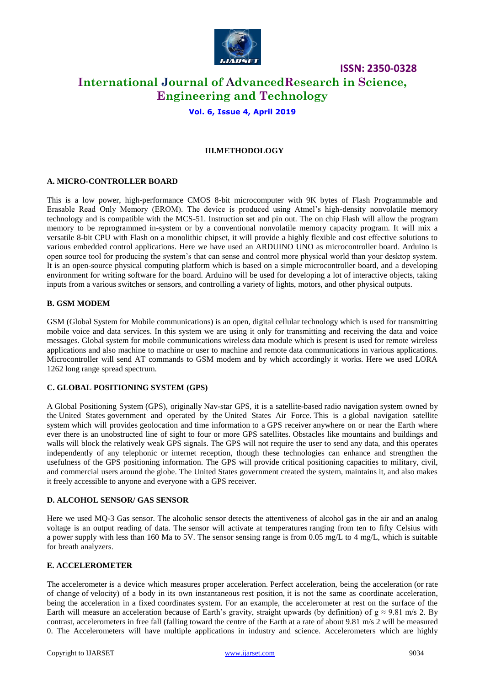

# **ISSN: 2350-0328 International Journal of AdvancedResearch in Science, Engineering and Technology**

## **Vol. 6, Issue 4, April 2019**

## **III.METHODOLOGY**

#### **A. MICRO-CONTROLLER BOARD**

This is a low power, high-performance CMOS 8-bit microcomputer with 9K bytes of Flash Programmable and Erasable Read Only Memory (EROM). The device is produced using Atmel's high-density nonvolatile memory technology and is compatible with the MCS-51. Instruction set and pin out. The on chip Flash will allow the program memory to be reprogrammed in-system or by a conventional nonvolatile memory capacity program. It will mix a versatile 8-bit CPU with Flash on a monolithic chipset, it will provide a highly flexible and cost effective solutions to various embedded control applications. Here we have used an ARDUINO UNO as microcontroller board. Arduino is open source tool for producing the system's that can sense and control more physical world than your desktop system. It is an open-source physical computing platform which is based on a simple microcontroller board, and a developing environment for writing software for the board. Arduino will be used for developing a lot of interactive objects, taking inputs from a various switches or sensors, and controlling a variety of lights, motors, and other physical outputs.

#### **B. GSM MODEM**

GSM (Global System for Mobile communications) is an open, digital cellular technology which is used for transmitting mobile voice and data services. In this system we are using it only for transmitting and receiving the data and voice messages. Global system for mobile communications wireless data module which is present is used for remote wireless applications and also machine to machine or user to machine and remote data communications in various applications. Microcontroller will send AT commands to GSM modem and by which accordingly it works. Here we used LORA 1262 long range spread spectrum.

#### **C. GLOBAL POSITIONING SYSTEM (GPS)**

A Global Positioning System (GPS), originally Nav-star GPS, it is a satellite-based radio navigation system owned by the United States government and operated by the United States Air Force. This is a global navigation satellite system which will provides geolocation and time information to a GPS receiver anywhere on or near the Earth where ever there is an unobstructed line of sight to four or more GPS satellites. Obstacles like mountains and buildings and walls will block the relatively weak GPS signals. The GPS will not require the user to send any data, and this operates independently of any telephonic or internet reception, though these technologies can enhance and strengthen the usefulness of the GPS positioning information. The GPS will provide critical positioning capacities to military, civil, and commercial users around the globe. The United States government created the system, maintains it, and also makes it freely accessible to anyone and everyone with a GPS receiver.

#### **D. ALCOHOL SENSOR/ GAS SENSOR**

Here we used MQ-3 Gas sensor. The alcoholic sensor detects the attentiveness of alcohol gas in the air and an analog voltage is an output reading of data. The sensor will activate at temperatures ranging from ten to fifty Celsius with a power supply with less than 160 Ma to 5V. The sensor sensing range is from 0.05 mg/L to 4 mg/L, which is suitable for breath analyzers.

## **E. ACCELEROMETER**

The accelerometer is a device which measures proper acceleration. Perfect acceleration, being the acceleration (or rate of change of velocity) of a body in its own instantaneous rest position, it is not the same as coordinate acceleration, being the acceleration in a fixed coordinates system. For an example, the accelerometer at rest on the surface of the Earth will measure an acceleration because of Earth's gravity, straight upwards (by definition) of  $g \approx 9.81$  m/s 2. By contrast, accelerometers in free fall (falling toward the centre of the Earth at a rate of about 9.81 m/s 2 will be measured 0. The Accelerometers will have multiple applications in industry and science. Accelerometers which are highly